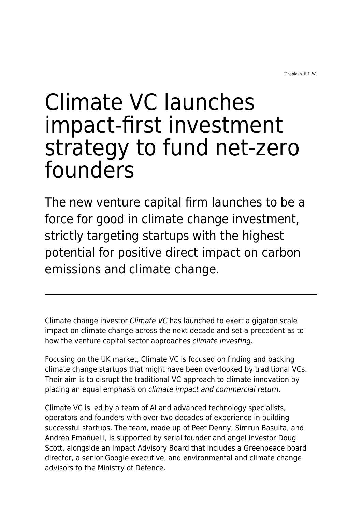Unsplash © L.W.

## Climate VC launches impact-first investment strategy to fund net-zero founders

The new venture capital firm launches to be a force for good in climate change investment, strictly targeting startups with the highest potential for positive direct impact on carbon emissions and climate change.

Climate change investor [Climate VC](https://www.climate.vc/) has launched to exert a gigaton scale impact on climate change across the next decade and set a precedent as to how the venture capital sector approaches *[climate investing](https://www.maddyness.com/uk/2022/02/07/why-is-everyone-so-excited-about-climatetech/)*.

Focusing on the UK market, Climate VC is focused on finding and backing climate change startups that might have been overlooked by traditional VCs. Their aim is to disrupt the traditional VC approach to climate innovation by placing an equal emphasis on *[climate impact and commercial return](https://www.maddyness.com/uk/2021/04/15/how-to-think-about-capitalism-and-climate-change/)*.

Climate VC is led by a team of AI and advanced technology specialists, operators and founders with over two decades of experience in building successful startups. The team, made up of Peet Denny, Simrun Basuita, and Andrea Emanuelli, is supported by serial founder and angel investor Doug Scott, alongside an Impact Advisory Board that includes a Greenpeace board director, a senior Google executive, and environmental and climate change advisors to the Ministry of Defence.